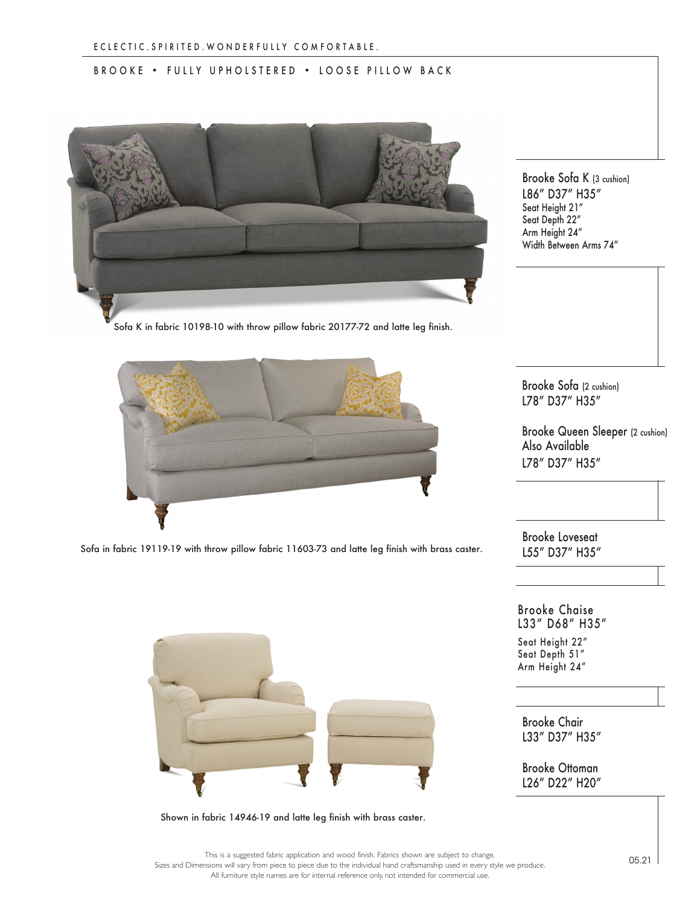## BROOKE • FULLY UPHOLSTERED • LOOSE PILLOW BACK



Sofa K in fabric 10198-10 with throw pillow fabric 20177-72 and latte leg finish.



Sofa in fabric 19119-19 with throw pillow fabric 11603-73 and latte leg finish with brass caster.

Brooke Sofa K (3 cushion) L86" D37" H35" Seat Height 21" Seat Depth 22" Arm Height 24" Width Between Arms 74"

Brooke Sofa (2 cushion) L78" D37" H35"

Brooke Queen Sleeper (2 cushion) Also Available L78" D37" H35"

Brooke Loveseat L55" D37" H35"

Brooke Chaise L33" D68" H35" Seat Height 22" Seat Depth 51" Arm Height 24"

Brooke Chair L33" D37" H35"

Brooke Ottoman L26" D22" H20"



Shown in fabric 14946-19 and latte leg finish with brass caster.

This is a suggested fabric application and wood finish. Fabrics shown are subject to change. Sizes and Dimensions will vary from piece to piece due to the individual hand craftsmanship used in every style we produce. All furniture style names are for internal reference only, not intended for commercial use.